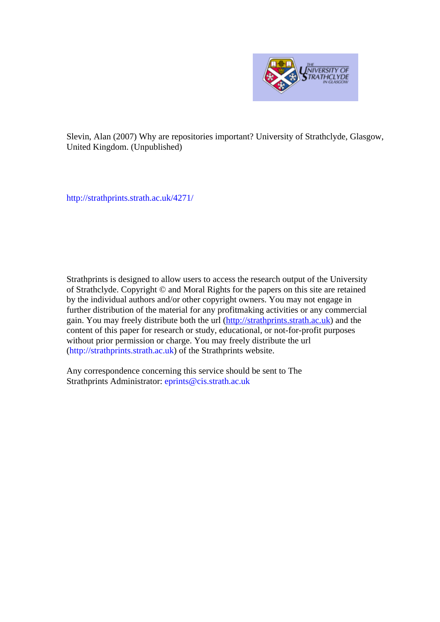

Slevin, Alan (2007) Why are repositories important? University of Strathclyde, Glasgow, United Kingdom. (Unpublished)

http://strathprints[.strath.ac.uk/](http://strathprints.strath.ac.uk/4271/)4271/

Strathprints is designed to allow users to access the research output of the University of Strathclyde. Copyright © and Moral Rights for the papers on this site are retained by the individual authors and/or other copyright owners. You may not engage in further distribution of the material for any profitmaking activities or any commercial gain. You may freely distribute both the url (http://strathprints[.strath.ac.uk\)](https://nemo.strath.ac.uk/exchweb/bin/redir.asp?URL=http://eprints.cdlr.strath.ac.uk) and the content of this paper for research or study, educational, or not-for-profit purposes without prior permission or charge. You may freely distribute the url (http://strathprints.strath.ac.uk) of the Strathprints website.

Any correspondence concerning this service should be sent to The Strathprints Administrator: eprints@cis.strath.ac.uk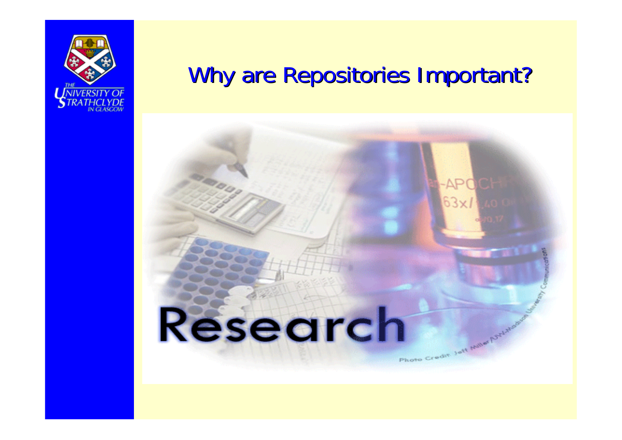

### Why are Repositories Important?

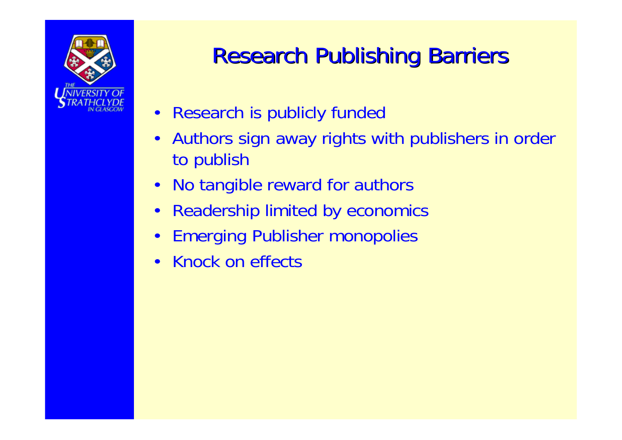

## **Research Publishing Barriers**

- Research is publicly funded
- Authors sign away rights with publishers in order to publish
- No tangible reward for authors
- Readership limited by economics
- Emerging Publisher monopolies
- Knock on effects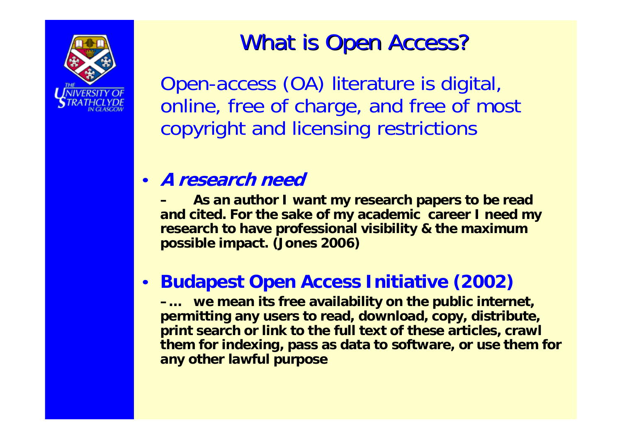

### What is Open Access?

Open-access (OA) literature is digital, online, free of charge, and free of most copyright and licensing restrictions

#### • **A research need**

**– As an author I want my research papers to be read and cited. For the sake of my academic career I need my research to have professional visibility & the maximum possible impact. (Jones 2006)**

#### • **Budapest Open Access Initiative (2002)**

**–… we mean its free availability on the public internet, permitting any users to read, download, copy, distribute, print search or link to the full text of these articles, crawl them for indexing, pass as data to software, or use them for any other lawful purpose**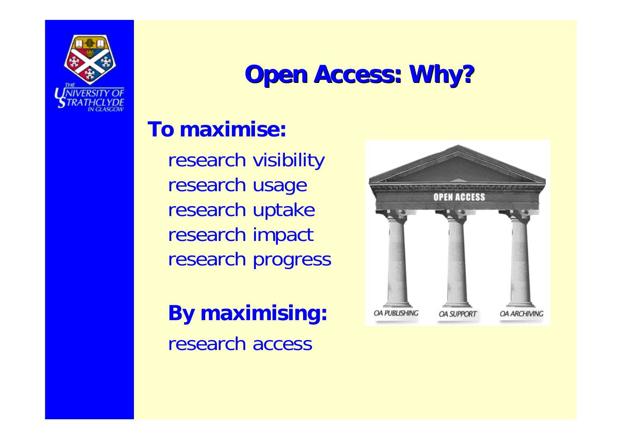

## **Open Access: Why? Open Access: Why?**

#### **To maximise:**

research visibility research usage research uptake research impact research progress

**By maximising:** research access

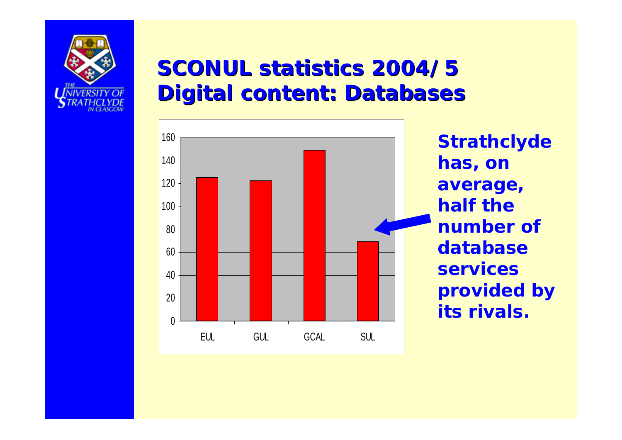

#### **SCONUL statistics 2004/5 Digital content: Databases**



**Strathclyde has, on average, half the number of database services provided by its rivals.**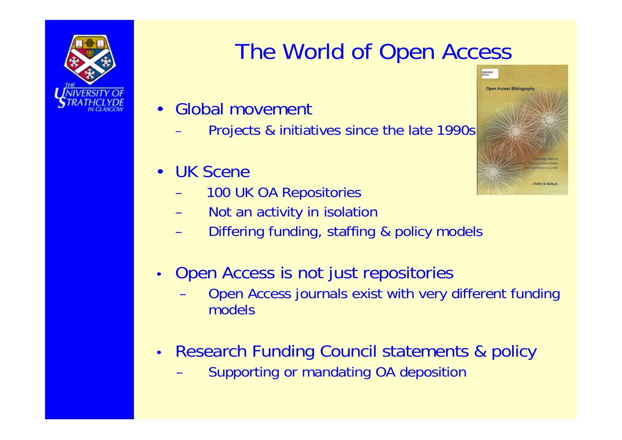

## The World of Open Access

- Global movement
	- Projects & initiatives since the late 1990s
- UK Scene
	- 100 UK OA Repositories
	- Not an activity in isolation
	- Differing funding, staffing & policy models
- Open Access is not just repositories
	- Open Access journals exist with very different funding models
- Research Funding Council statements & policy
	- Supporting or mandating OA deposition

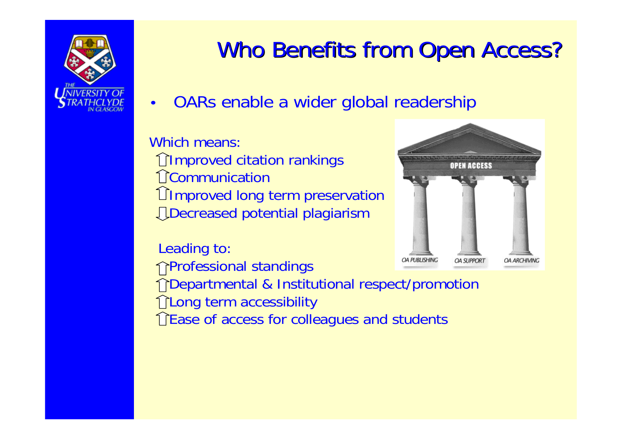

## Who Benefits from Open Access?

• OARs enable a wider global readership

Which means:**TImproved citation rankings** Communication Improved long term preservation Decreased potential plagiarism

Leading to: Professional standings



↑ Departmental & Institutional respect/promotion TLong term accessibility TEase of access for colleagues and students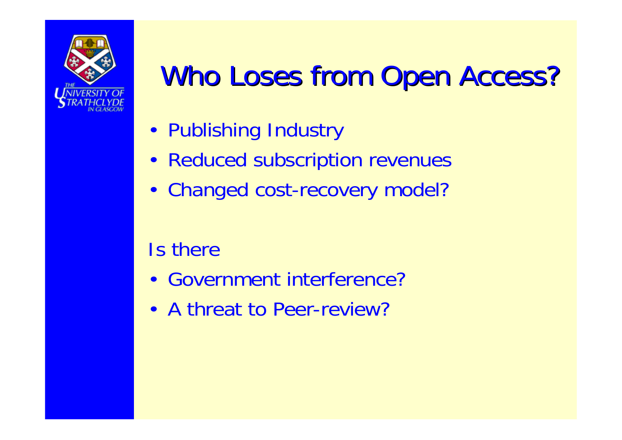

# Who Loses from Open Access?

- Publishing Industry
- Reduced subscription revenues
- Changed cost-recovery model?

#### Is there

- Government interference?
- A threat to Peer-review?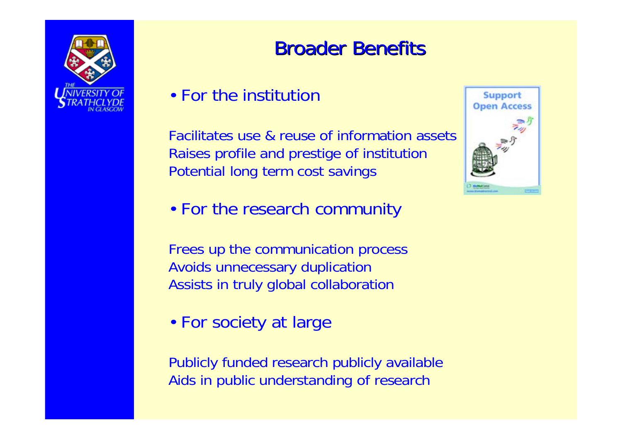

#### **Broader Benefits**

#### • For the institution

Facilitates use & reuse of information assetsRaises profile and prestige of institution Potential long term cost savings



• For the research community

Frees up the communication process Avoids unnecessary duplication Assists in truly global collaboration

• For society at large

Publicly funded research publicly available Aids in public understanding of research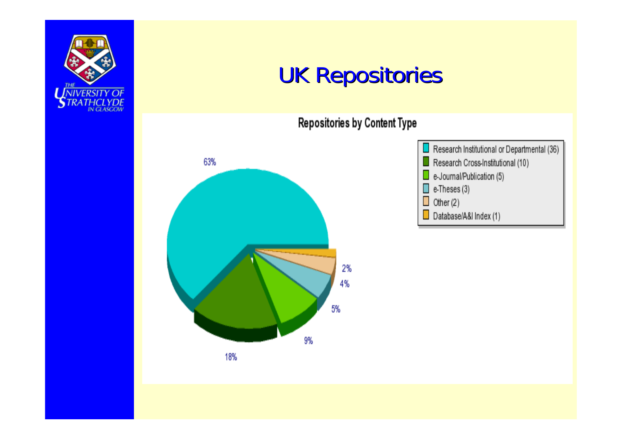

## **UK Repositories**

Repositories by Content Type



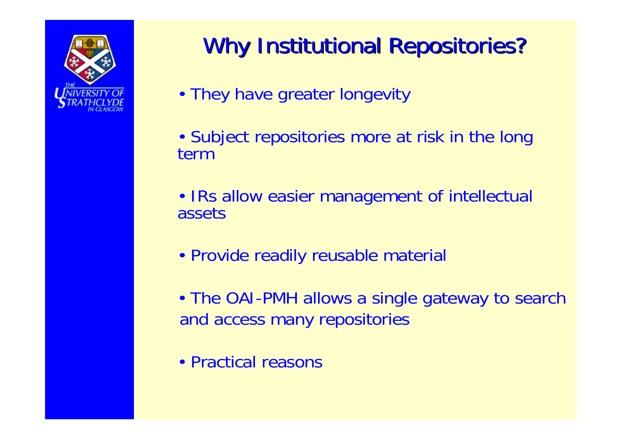

# Why Institutional Repositories?

- They have greater longevity
- Subject repositories more at risk in the long term
- IRs allow easier management of intellectual assets
- Provide readily reusable material
- The OAI-PMH allows a single gateway to search and access many repositories
- Practical reasons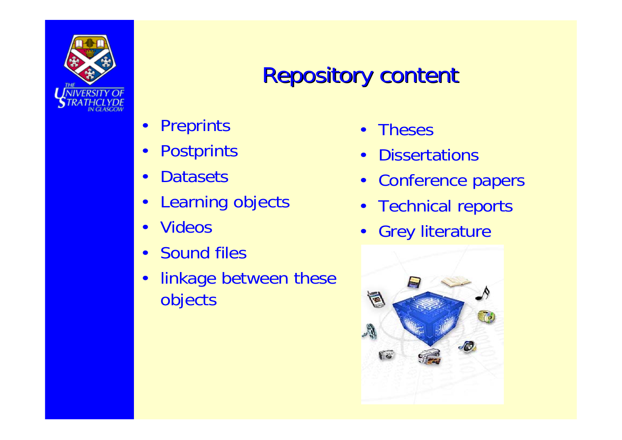![](_page_12_Picture_0.jpeg)

## **Repository content**

- **Preprints**
- Postprints
- **Datasets**
- Learning objects
- Videos
- Sound files
- linkage between these objects
- Theses
- Dissertations
- Conference papers
- Technical reports
- Grey literature

![](_page_12_Picture_14.jpeg)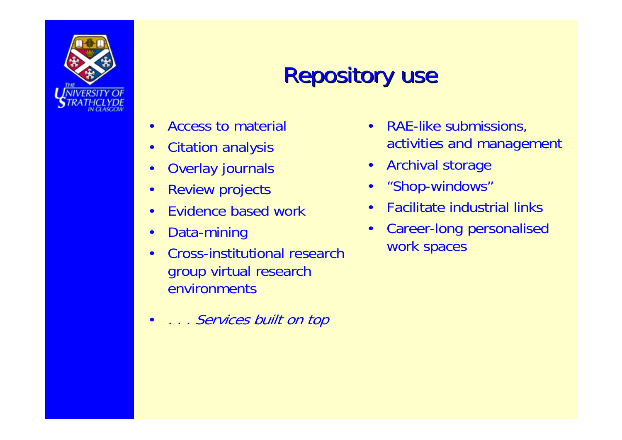![](_page_13_Picture_0.jpeg)

# **Repository use**

- Access to material
- Citation analysis
- Overlay journals
- Review projects
- Evidence based work
- Data-mining
- Cross-institutional research group virtual research environments
- . . . Services built on top
- RAE-like submissions, activities and management
- Archival storage
- "Shop-windows"
- Facilitate industrial links
- Career-long personalised work spaces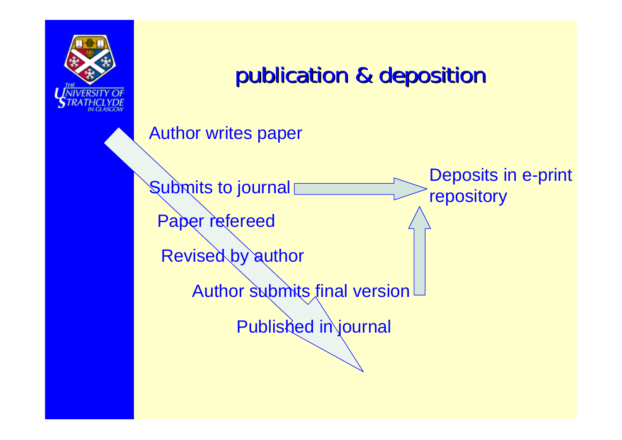![](_page_14_Picture_0.jpeg)

## publication & deposition

Author writes paper

Deposits in e-print repository

Paper refereed

**Submits to journal** 

Revised by author

Author submits final version

Published in journal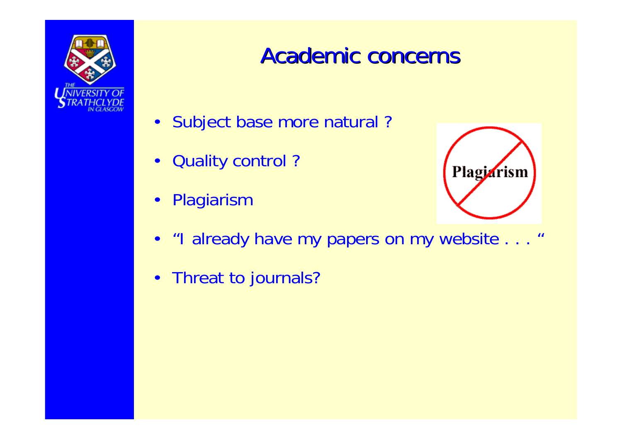![](_page_15_Picture_0.jpeg)

#### **Academic concerns**

- Subject base more natural ?
- Quality control ?
- Plagiarism

![](_page_15_Picture_5.jpeg)

- "I already have my papers on my website . . . "
- Threat to journals?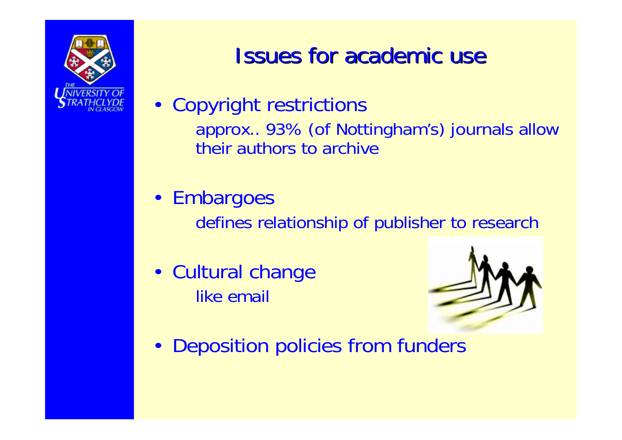![](_page_16_Picture_0.jpeg)

## **Issues for academic use**

- Copyright restrictions approx.. 93% (of Nottingham's) journals allow their authors to archive
- Embargoes

defines relationship of publisher to research

• Cultural change like email

![](_page_16_Picture_6.jpeg)

• Deposition policies from funders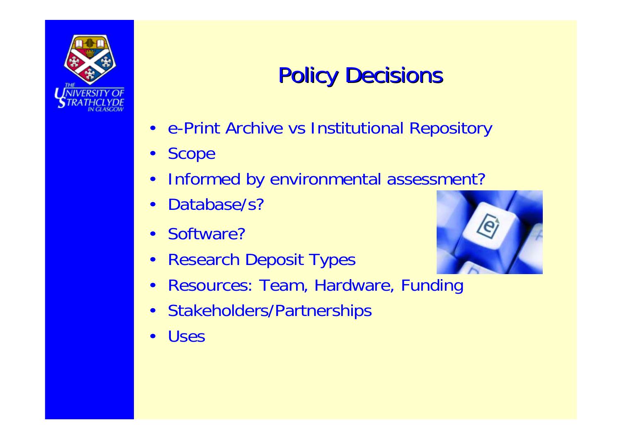![](_page_17_Picture_0.jpeg)

# **Policy Decisions**

- e-Print Archive vs Institutional Repository
- Scope
- Informed by environmental assessment?
- Database/s?
- Software?
- Research Deposit Types

![](_page_17_Picture_8.jpeg)

- Resources: Team, Hardware, Funding
- Stakeholders/Partnerships
- **Uses**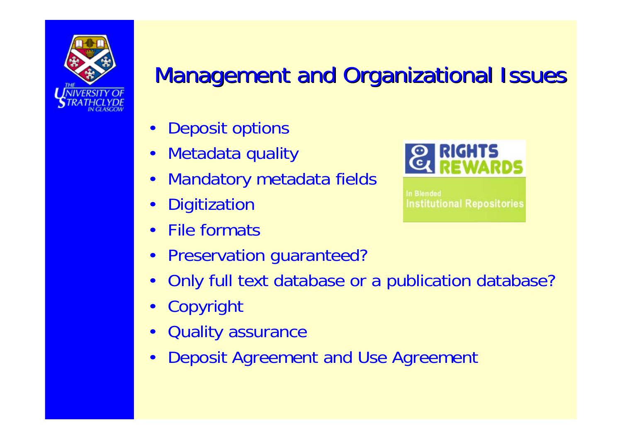![](_page_18_Picture_0.jpeg)

## **Management and Organizational Issues**

- Deposit options
- Metadata quality
- Mandatory metadata fields
- **Digitization**
- **File formats**
- Preservation guaranteed?
- Only full text database or a publication database?
- Copyright
- Quality assurance
- Deposit Agreement and Use Agreement

![](_page_18_Picture_12.jpeg)

In Blended **Institutional Repositories**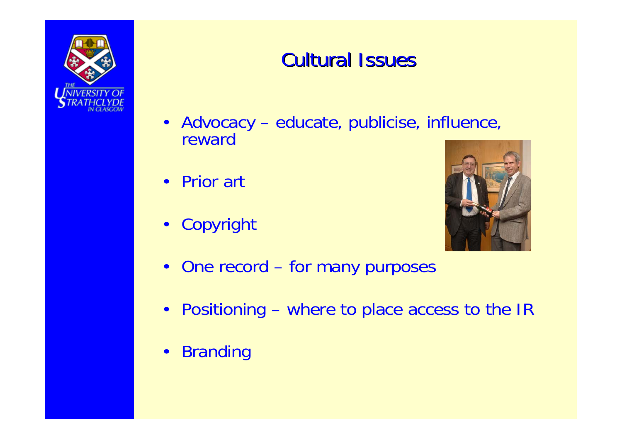![](_page_19_Picture_0.jpeg)

#### **Cultural Issues**

- Advocacy educate, publicise, influence, reward
- Prior art
- Copyright

![](_page_19_Picture_5.jpeg)

- One record for many purposes
- Positioning where to place access to the IR
- Branding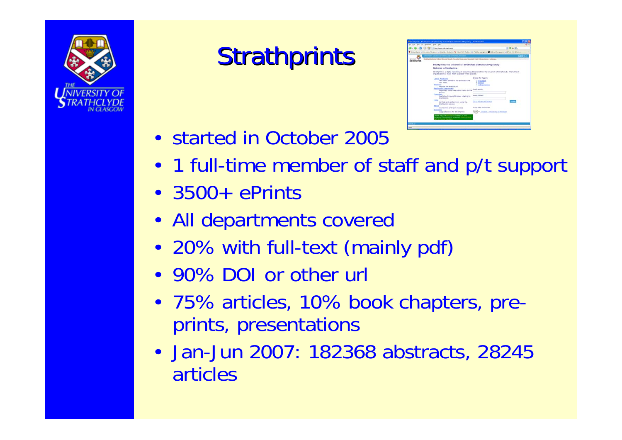![](_page_20_Picture_0.jpeg)

# **Strathprints**

|            | . 57 El Val II Modernouk matural                                                                                                                                                                                                                                                                                                                                                                                                                                                              |                                                                                                                                                                                                                                            | $= 0 = 0$    |
|------------|-----------------------------------------------------------------------------------------------------------------------------------------------------------------------------------------------------------------------------------------------------------------------------------------------------------------------------------------------------------------------------------------------------------------------------------------------------------------------------------------------|--------------------------------------------------------------------------------------------------------------------------------------------------------------------------------------------------------------------------------------------|--------------|
|            |                                                                                                                                                                                                                                                                                                                                                                                                                                                                                               |                                                                                                                                                                                                                                            |              |
|            | of checks are modulated and control                                                                                                                                                                                                                                                                                                                                                                                                                                                           |                                                                                                                                                                                                                                            | 田幸田          |
| trathclyde | (a) Musel Score Classific Register Units are a Capital to their United States (Cabrican)                                                                                                                                                                                                                                                                                                                                                                                                      |                                                                                                                                                                                                                                            |              |
|            | Stratfgrints: The University of Strathdyde Institutional Repository                                                                                                                                                                                                                                                                                                                                                                                                                           |                                                                                                                                                                                                                                            |              |
|            | Welcome to Stratfigents                                                                                                                                                                                                                                                                                                                                                                                                                                                                       |                                                                                                                                                                                                                                            |              |
|            | Etratformits is a digital reportive of research publications from the University of Directoriade. The full learn                                                                                                                                                                                                                                                                                                                                                                              |                                                                                                                                                                                                                                            |              |
|            | of publications is made freely available where possible.                                                                                                                                                                                                                                                                                                                                                                                                                                      |                                                                                                                                                                                                                                            |              |
|            | Laterd Additions<br>yiew dance added to the archive in the<br>sart week.<br><b>Pangation</b><br><b>Become for an account</b><br><b>Respiratorial Users Area</b><br>Selectered users may submit items to the<br>art More<br>Oapptlidd<br>Read about copyright sisues relating to<br><b>Straitspanis</b><br><b>Startup</b><br>Get help and guidance on using the<br><b>Stratformis service</b><br>Albert<br>Stratforents and Open Access<br><b>Madishum</b><br>Usage statistics for Shiathavens | <b>Browns for Fapors:</b><br>. by Sabbath<br>. by Your<br>· by Department<br>Search records:<br><b>Education Statistics</b><br>On to Adversed Swarpt<br><b>Search officer requirements</b><br>COMPANY (Tradition) + University of Motivage | <b>Press</b> |
|            | ages want the political at logicall of the<br>ripean Comment's program! (per: scons)                                                                                                                                                                                                                                                                                                                                                                                                          |                                                                                                                                                                                                                                            |              |
|            |                                                                                                                                                                                                                                                                                                                                                                                                                                                                                               |                                                                                                                                                                                                                                            |              |
|            |                                                                                                                                                                                                                                                                                                                                                                                                                                                                                               |                                                                                                                                                                                                                                            |              |

- started in October 2005
- 1 full-time member of staff and p/t support
- 3500+ ePrints
- All departments covered
- 20% with full-text (mainly pdf)
- 90% DOI or other url
- 75% articles, 10% book chapters, preprints, presentations
- Jan-Jun 2007: 182368 abstracts, 28245 articles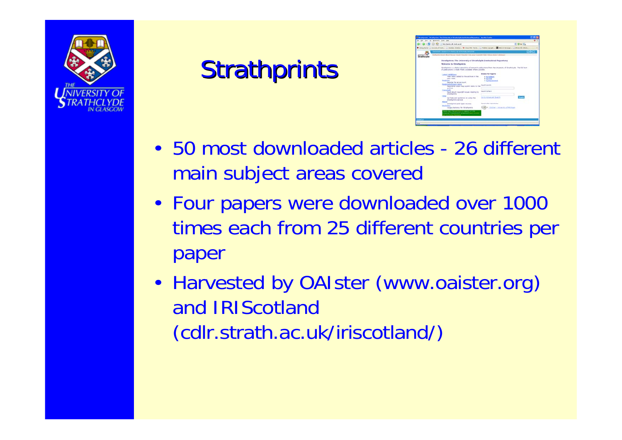![](_page_21_Picture_0.jpeg)

# **Strathprints**

![](_page_21_Picture_2.jpeg)

- 50 most downloaded articles 26 different main subject areas covered
- Four papers were downloaded over 1000 times each from 25 different countries per paper
- Harvested by OAIster (www.oaister.org) and IRIScotland (cdlr.strath.ac.uk/iriscotland/)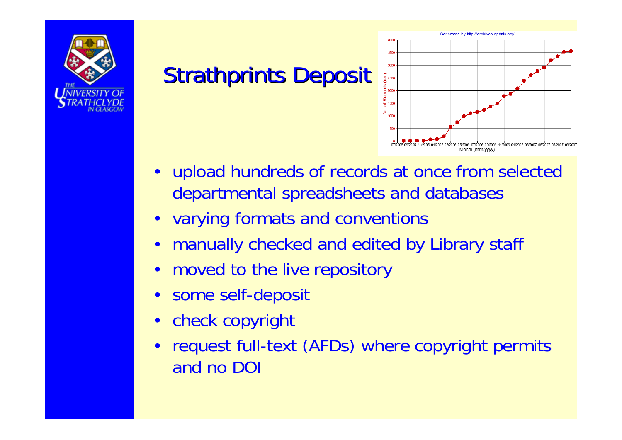![](_page_22_Picture_0.jpeg)

# **Strathprints Deposit**

![](_page_22_Figure_2.jpeg)

- upload hundreds of records at once from selected departmental spreadsheets and databases
- varying formats and conventions
- manually checked and edited by Library staff
- moved to the live repository
- some self-deposit
- check copyright
- request full-text (AFDs) where copyright permits and no DOI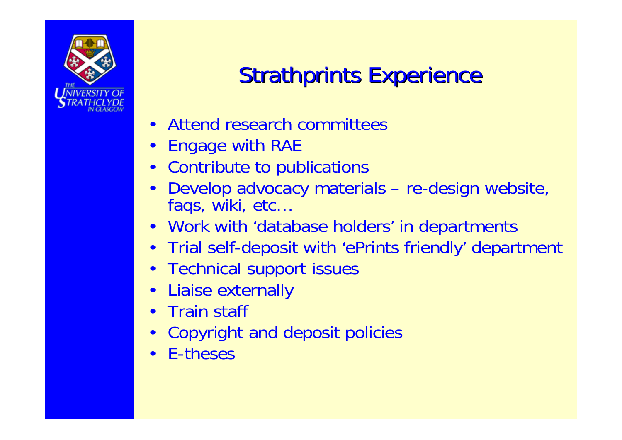![](_page_23_Picture_0.jpeg)

# **Strathprints Experience**

- Attend research committees
- Engage with RAE
- Contribute to publications
- Develop advocacy materials re-design website, faqs, wiki, etc…
- Work with 'database holders' in departments
- Trial self-deposit with 'ePrints friendly' department
- Technical support issues
- Liaise externally
- Train staff
- Copyright and deposit policies
- E-theses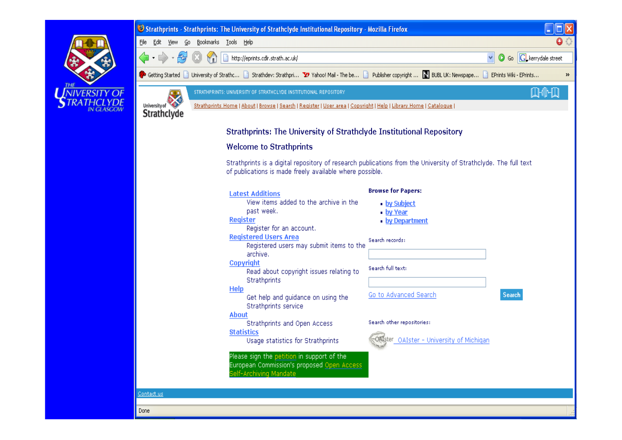![](_page_24_Picture_0.jpeg)

| Strathprints - Strathprints: The University of Strathclyde Institutional Repository - Mozilla Firefox                                                     |                                                            |
|-----------------------------------------------------------------------------------------------------------------------------------------------------------|------------------------------------------------------------|
| File Edit<br>Bookmarks Tools Help<br>Go.<br><b>View</b>                                                                                                   | $\bullet$                                                  |
|                                                                                                                                                           | $\vee$ $\circ$ Go $\circ$ $\circ$ $\circ$ kerrydale street |
| Getting Started   University of Strathc   Strathdev: Strathpri Y Yahoo! Mail - The be   Publisher copyright    BUBL UK: Newspape   EPrints Wiki - EPrints | $\rightarrow$                                              |
| STRATHPRINTS: UNIVERSITY OF STRATHCLYDE INSTITUTIONAL REPOSITORY<br>University of                                                                         | <b>INHI</b>                                                |
| Strathprints Home   About   Browse   Search   Register   User area   Copyright   Help   Library Home   Catalogue  <br><b>Strathclyde</b>                  |                                                            |

#### **Strathprints: The University of Strathclyde Institutional Repository**

#### **Welcome to Strathprints**

Strathprints is a digital repository of research publications from the University of Strathclyde. The full text of publications is made freely available where possible.

| <b>Latest Additions</b><br>View items added to the archive in the                                                  | <b>Browse for Papers:</b><br>• by Subject |
|--------------------------------------------------------------------------------------------------------------------|-------------------------------------------|
| past week.<br>Register<br>Register for an account.                                                                 | • <u>by Year</u><br>• by Department       |
| <b>Registered Users Area</b><br>Registered users may submit items to the                                           | Search records:                           |
| archive.                                                                                                           |                                           |
| Copyright<br>Read about copyright issues relating to                                                               | Search full text:                         |
| <b>Strathprints</b><br><b>Help</b><br>Get help and quidance on using the                                           | Go to Advanced Search<br><b>Search</b>    |
| <b>Strathprints service</b>                                                                                        |                                           |
| About<br><b>Strathprints and Open Access</b>                                                                       | Search other repositories:                |
| <b>Statistics</b><br>Usage statistics for Strathprints                                                             | ster OAIster - University of Michigan     |
| Please sign the petition in support of the<br>European Commission's proposed Open Access<br>Self-Archiving Mandate |                                           |

#### Contact us

Done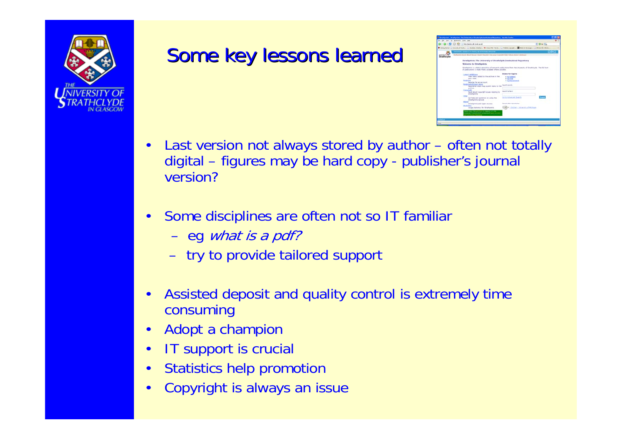![](_page_25_Picture_0.jpeg)

#### Some key lessons learned

![](_page_25_Picture_2.jpeg)

- Last version not always stored by author often not totally digital – figures may be hard copy - publisher's journal version?
- Some disciplines are often not so IT familiar
	- eg what is a pdf?
	- try to provide tailored support
- Assisted deposit and quality control is extremely time consuming
- Adopt a champion
- **IT support is crucial**
- Statistics help promotion
- Copyright is always an issue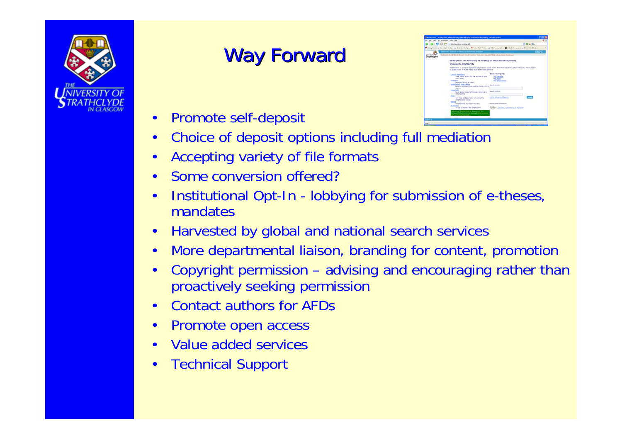![](_page_26_Picture_0.jpeg)

### **Way Forward**

- Promote self-deposit
- Choice of deposit options including full mediation
- Accepting variety of file formats
- Some conversion offered?
- Institutional Opt-In lobbying for submission of e-theses, mandates
- Harvested by global and national search services
- More departmental liaison, branding for content, promotion
- Copyright permission advising and encouraging rather than proactively seeking permission
- Contact authors for AFDs
- Promote open access
- Value added services
- Technical Support

![](_page_26_Picture_14.jpeg)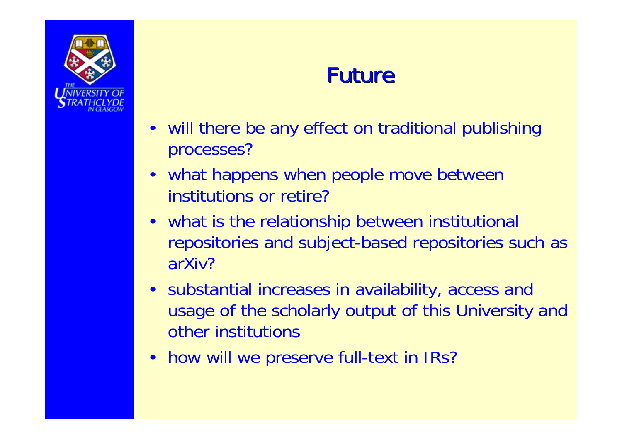![](_page_27_Picture_0.jpeg)

## **Future**

- will there be any effect on traditional publishing processes?
- what happens when people move between institutions or retire?
- what is the relationship between institutional repositories and subject-based repositories such as arXiv?
- substantial increases in availability, access and usage of the scholarly output of this University and other institutions
- how will we preserve full-text in IRs?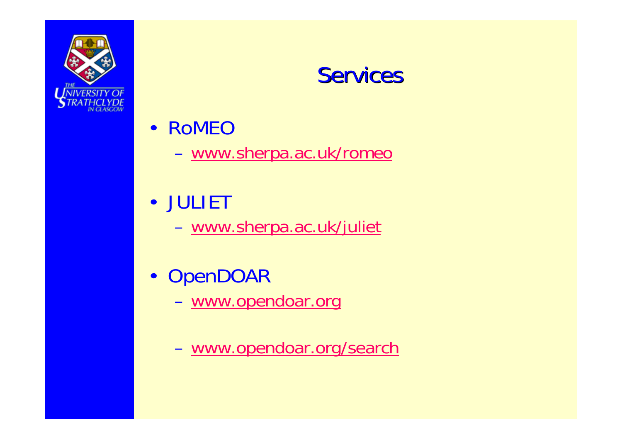![](_page_28_Picture_0.jpeg)

#### Services

- RoMEO
	- [www.sherpa.ac.uk/romeo](http://www.sherpa.ac.uk/romeo)
- JULIET
	- [www.sherpa.ac.uk/juliet](http://www.sherpa.ac.uk/juliet)
- OpenDOAR
	- [www.opendoar.org](http://www.opendoar.org/)
	- [www.opendoar.org/search](http://www.opendoar.org/search)